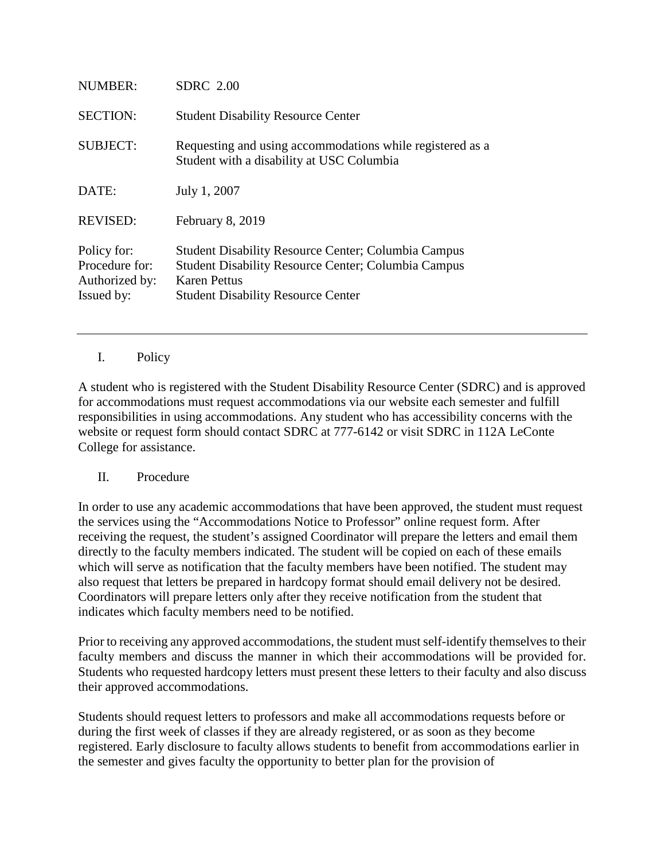| NUMBER:                                                       | <b>SDRC</b> 2.00                                                                                                                                                                             |
|---------------------------------------------------------------|----------------------------------------------------------------------------------------------------------------------------------------------------------------------------------------------|
| <b>SECTION:</b>                                               | <b>Student Disability Resource Center</b>                                                                                                                                                    |
| <b>SUBJECT:</b>                                               | Requesting and using accommodations while registered as a<br>Student with a disability at USC Columbia                                                                                       |
| DATE:                                                         | July 1, 2007                                                                                                                                                                                 |
| <b>REVISED:</b>                                               | February 8, 2019                                                                                                                                                                             |
| Policy for:<br>Procedure for:<br>Authorized by:<br>Issued by: | <b>Student Disability Resource Center; Columbia Campus</b><br><b>Student Disability Resource Center; Columbia Campus</b><br><b>Karen Pettus</b><br><b>Student Disability Resource Center</b> |

I. Policy

A student who is registered with the Student Disability Resource Center (SDRC) and is approved for accommodations must request accommodations via our website each semester and fulfill responsibilities in using accommodations. Any student who has accessibility concerns with the website or request form should contact SDRC at 777-6142 or visit SDRC in 112A LeConte College for assistance.

## II. Procedure

In order to use any academic accommodations that have been approved, the student must request the services using the "Accommodations Notice to Professor" online request form. After receiving the request, the student's assigned Coordinator will prepare the letters and email them directly to the faculty members indicated. The student will be copied on each of these emails which will serve as notification that the faculty members have been notified. The student may also request that letters be prepared in hardcopy format should email delivery not be desired. Coordinators will prepare letters only after they receive notification from the student that indicates which faculty members need to be notified.

Prior to receiving any approved accommodations, the student must self-identify themselves to their faculty members and discuss the manner in which their accommodations will be provided for. Students who requested hardcopy letters must present these letters to their faculty and also discuss their approved accommodations.

Students should request letters to professors and make all accommodations requests before or during the first week of classes if they are already registered, or as soon as they become registered. Early disclosure to faculty allows students to benefit from accommodations earlier in the semester and gives faculty the opportunity to better plan for the provision of